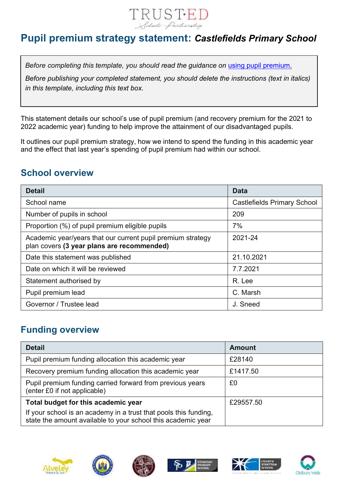

## **Pupil premium strategy statement:** *Castlefields Primary School*

*Before completing this template, you should read the guidance on [using pupil premium.](https://www.gov.uk/guidance/pupil-premium-effective-use-and-accountability#online-statements)* 

*Before publishing your completed statement, you should delete the instructions (text in italics) in this template, including this text box.*

This statement details our school's use of pupil premium (and recovery premium for the 2021 to 2022 academic year) funding to help improve the attainment of our disadvantaged pupils.

It outlines our pupil premium strategy, how we intend to spend the funding in this academic year and the effect that last year's spending of pupil premium had within our school.

## **School overview**

| <b>Detail</b>                                                                                             | <b>Data</b>                        |
|-----------------------------------------------------------------------------------------------------------|------------------------------------|
| School name                                                                                               | <b>Castlefields Primary School</b> |
| Number of pupils in school                                                                                | 209                                |
| Proportion (%) of pupil premium eligible pupils                                                           | 7%                                 |
| Academic year/years that our current pupil premium strategy<br>plan covers (3 year plans are recommended) | 2021-24                            |
| Date this statement was published                                                                         | 21.10.2021                         |
| Date on which it will be reviewed                                                                         | 7.7.2021                           |
| Statement authorised by                                                                                   | R. Lee                             |
| Pupil premium lead                                                                                        | C. Marsh                           |
| Governor / Trustee lead                                                                                   | J. Sneed                           |

### **Funding overview**

| <b>Detail</b>                                                                                                                    | <b>Amount</b> |
|----------------------------------------------------------------------------------------------------------------------------------|---------------|
| Pupil premium funding allocation this academic year                                                                              | £28140        |
| Recovery premium funding allocation this academic year                                                                           | £1417.50      |
| Pupil premium funding carried forward from previous years<br>(enter £0 if not applicable)                                        | £0            |
| Total budget for this academic year                                                                                              | £29557.50     |
| If your school is an academy in a trust that pools this funding,<br>state the amount available to your school this academic year |               |











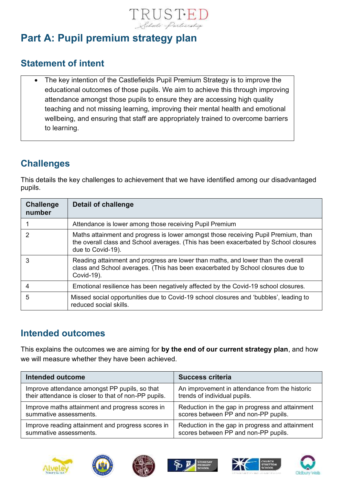

# **Part A: Pupil premium strategy plan**

### **Statement of intent**

• The key intention of the Castlefields Pupil Premium Strategy is to improve the educational outcomes of those pupils. We aim to achieve this through improving attendance amongst those pupils to ensure they are accessing high quality teaching and not missing learning, improving their mental health and emotional wellbeing, and ensuring that staff are appropriately trained to overcome barriers to learning.

# **Challenges**

This details the key challenges to achievement that we have identified among our disadvantaged pupils.

| <b>Challenge</b><br>number | Detail of challenge                                                                                                                                                                             |
|----------------------------|-------------------------------------------------------------------------------------------------------------------------------------------------------------------------------------------------|
|                            | Attendance is lower among those receiving Pupil Premium                                                                                                                                         |
| 2                          | Maths attainment and progress is lower amongst those receiving Pupil Premium, than<br>the overall class and School averages. (This has been exacerbated by School closures<br>due to Covid-19). |
| 3                          | Reading attainment and progress are lower than maths, and lower than the overall<br>class and School averages. (This has been exacerbated by School closures due to<br>Covid-19).               |
|                            | Emotional resilience has been negatively affected by the Covid-19 school closures.                                                                                                              |
| 5                          | Missed social opportunities due to Covid-19 school closures and 'bubbles', leading to<br>reduced social skills.                                                                                 |

### **Intended outcomes**

This explains the outcomes we are aiming for **by the end of our current strategy plan**, and how we will measure whether they have been achieved.

| Intended outcome                                     | <b>Success criteria</b>                         |
|------------------------------------------------------|-------------------------------------------------|
| Improve attendance amongst PP pupils, so that        | An improvement in attendance from the historic  |
| their attendance is closer to that of non-PP pupils. | trends of individual pupils.                    |
| Improve maths attainment and progress scores in      | Reduction in the gap in progress and attainment |
| summative assessments.                               | scores between PP and non-PP pupils.            |
| Improve reading attainment and progress scores in    | Reduction in the gap in progress and attainment |
| summative assessments.                               | scores between PP and non-PP pupils.            |











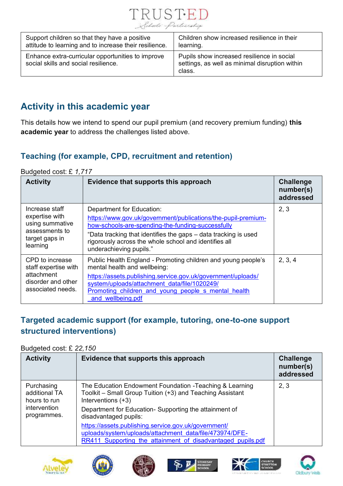

| Support children so that they have a positive                                             | Children show increased resilience in their                                                            |
|-------------------------------------------------------------------------------------------|--------------------------------------------------------------------------------------------------------|
| attitude to learning and to increase their resilience.                                    | learning.                                                                                              |
| Enhance extra-curricular opportunities to improve<br>social skills and social resilience. | Pupils show increased resilience in social<br>settings, as well as minimal disruption within<br>class. |

## **Activity in this academic year**

This details how we intend to spend our pupil premium (and recovery premium funding) **this academic year** to address the challenges listed above.

### **Teaching (for example, CPD, recruitment and retention)**

#### Budgeted cost: £ *1,717*

| <b>Activity</b>                                                                                     | Evidence that supports this approach                                                                                                                                                                                                                                                                   | <b>Challenge</b><br>number(s)<br>addressed |
|-----------------------------------------------------------------------------------------------------|--------------------------------------------------------------------------------------------------------------------------------------------------------------------------------------------------------------------------------------------------------------------------------------------------------|--------------------------------------------|
| Increase staff<br>expertise with<br>using summative<br>assessments to<br>target gaps in<br>learning | Department for Education:<br>https://www.gov.uk/government/publications/the-pupil-premium-<br>how-schools-are-spending-the-funding-successfully<br>"Data tracking that identifies the gaps – data tracking is used<br>rigorously across the whole school and identifies all<br>underachieving pupils." | 2, 3                                       |
| CPD to increase<br>staff expertise with<br>attachment<br>disorder and other<br>associated needs.    | Public Health England - Promoting children and young people's<br>mental health and wellbeing:<br>https://assets.publishing.service.gov.uk/government/uploads/<br>system/uploads/attachment data/file/1020249/<br>Promoting children and young people s mental health<br>and wellbeing.pdf              | 2, 3, 4                                    |

### **Targeted academic support (for example, tutoring, one-to-one support structured interventions)**

#### Budgeted cost: £ *22,150*

| <b>Activity</b>                                                            | Evidence that supports this approach                                                                                                                                                                                          | <b>Challenge</b><br>number(s)<br>addressed |
|----------------------------------------------------------------------------|-------------------------------------------------------------------------------------------------------------------------------------------------------------------------------------------------------------------------------|--------------------------------------------|
| Purchasing<br>additional TA<br>hours to run<br>intervention<br>programmes. | The Education Endowment Foundation - Teaching & Learning<br>Toolkit - Small Group Tuition (+3) and Teaching Assistant<br>Interventions (+3)<br>Department for Education-Supporting the attainment of<br>disadvantaged pupils: | 2, 3                                       |
|                                                                            | https://assets.publishing.service.gov.uk/government/<br>uploads/system/uploads/attachment data/file/473974/DFE-<br>RR411 Supporting the attainment of disadvantaged pupils.pdf                                                |                                            |











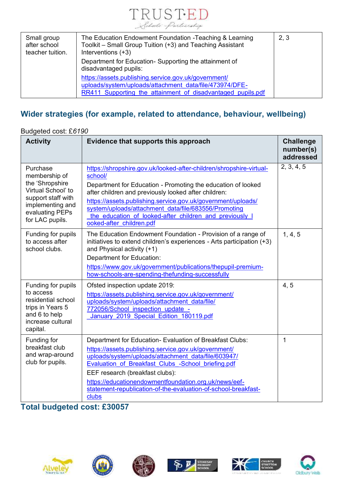

| Small group<br>after school<br>teacher tuition. | The Education Endowment Foundation - Teaching & Learning<br>Toolkit - Small Group Tuition (+3) and Teaching Assistant<br>Interventions (+3)                                    | 2, 3 |
|-------------------------------------------------|--------------------------------------------------------------------------------------------------------------------------------------------------------------------------------|------|
|                                                 | Department for Education- Supporting the attainment of<br>disadvantaged pupils:                                                                                                |      |
|                                                 | https://assets.publishing.service.gov.uk/government/<br>uploads/system/uploads/attachment_data/file/473974/DFE-<br>RR411 Supporting the attainment of disadvantaged pupils.pdf |      |

## **Wider strategies (for example, related to attendance, behaviour, wellbeing)**

| Budgeted cost: £6190                                                                                                                                |                                                                                                                                                                                                                                                                                                                                                                                                                       |                                            |  |
|-----------------------------------------------------------------------------------------------------------------------------------------------------|-----------------------------------------------------------------------------------------------------------------------------------------------------------------------------------------------------------------------------------------------------------------------------------------------------------------------------------------------------------------------------------------------------------------------|--------------------------------------------|--|
| <b>Activity</b>                                                                                                                                     | Evidence that supports this approach                                                                                                                                                                                                                                                                                                                                                                                  | <b>Challenge</b><br>number(s)<br>addressed |  |
| Purchase<br>membership of<br>the 'Shropshire'<br>Virtual School' to<br>support staff with<br>implementing and<br>evaluating PEPs<br>for LAC pupils. | https://shropshire.gov.uk/looked-after-children/shropshire-virtual-<br>school/<br>Department for Education - Promoting the education of looked<br>after children and previously looked after children:<br>https://assets.publishing.service.gov.uk/government/uploads/<br>system/uploads/attachment data/file/683556/Promoting<br>the education of looked-after children and previously I<br>ooked-after_children.pdf | 2, 3, 4, 5                                 |  |
| Funding for pupils<br>to access after<br>school clubs.                                                                                              | The Education Endowment Foundation - Provision of a range of<br>initiatives to extend children's experiences - Arts participation $(+3)$<br>and Physical activity (+1)<br>Department for Education:<br>https://www.gov.uk/government/publications/thepupil-premium-<br>how-schools-are-spending-thefunding-successfully                                                                                               | 1, 4, 5                                    |  |
| Funding for pupils<br>to access<br>residential school<br>trips in Years 5<br>and 6 to help<br>increase cultural<br>capital.                         | Ofsted inspection update 2019:<br>https://assets.publishing.service.gov.uk/government/<br>uploads/system/uploads/attachment data/file/<br>772056/School inspection update -<br>January 2019 Special Edition 180119.pdf                                                                                                                                                                                                | 4, 5                                       |  |
| Funding for<br>breakfast club<br>and wrap-around<br>club for pupils.                                                                                | Department for Education- Evaluation of Breakfast Clubs:<br>https://assets.publishing.service.gov.uk/government/<br>uploads/system/uploads/attachment data/file/603947/<br>Evaluation of Breakfast Clubs -School briefing.pdf<br>EEF research (breakfast clubs):<br>https://educationendowmentfoundation.org.uk/news/eef-<br>statement-republication-of-the-evaluation-of-school-breakfast-<br>clubs                  | $\mathbf 1$                                |  |

### **Total budgeted cost: £30057**